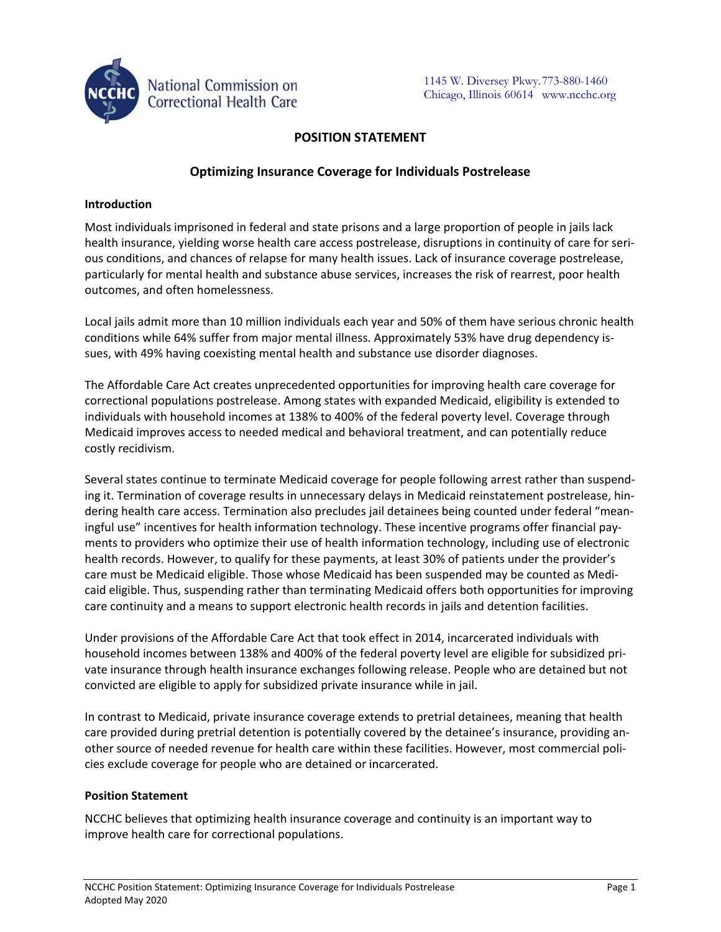

# **POSITION STATEMENT**

# **Optimizing Insurance Coverage for Individuals Postrelease**

### **Introduction**

Most individuals imprisoned in federal and state prisons and a large proportion of people in jails lack health insurance, yielding worse health care access postrelease, disruptions in continuity of care for serious conditions, and chances of relapse for many health issues. Lack of insurance coverage postrelease, particularly for mental health and substance abuse services, increases the risk of rearrest, poor health outcomes, and often homelessness.

Local jails admit more than 10 million individuals each year and 50% of them have serious chronic health conditions while 64% suffer from major mental illness. Approximately 53% have drug dependency issues, with 49% having coexisting mental health and substance use disorder diagnoses.

The Affordable Care Act creates unprecedented opportunities for improving health care coverage for correctional populations postrelease. Among states with expanded Medicaid, eligibility is extended to individuals with household incomes at 138% to 400% of the federal poverty level. Coverage through Medicaid improves access to needed medical and behavioral treatment, and can potentially reduce costly recidivism.

Several states continue to terminate Medicaid coverage for people following arrest rather than suspending it. Termination of coverage results in unnecessary delays in Medicaid reinstatement postrelease, hindering health care access. Termination also precludes jail detainees being counted under federal "meaningful use" incentives for health information technology. These incentive programs offer financial payments to providers who optimize their use of health information technology, including use of electronic health records. However, to qualify for these payments, at least 30% of patients under the provider's care must be Medicaid eligible. Those whose Medicaid has been suspended may be counted as Medicaid eligible. Thus, suspending rather than terminating Medicaid offers both opportunities for improving care continuity and a means to support electronic health records in jails and detention facilities.

Under provisions of the Affordable Care Act that took effect in 2014, incarcerated individuals with household incomes between 138% and 400% of the federal poverty level are eligible for subsidized private insurance through health insurance exchanges following release. People who are detained but not convicted are eligible to apply for subsidized private insurance while in jail.

In contrast to Medicaid, private insurance coverage extends to pretrial detainees, meaning that health care provided during pretrial detention is potentially covered by the detainee's insurance, providing another source of needed revenue for health care within these facilities. However, most commercial policies exclude coverage for people who are detained or incarcerated.

### **Position Statement**

NCCHC believes that optimizing health insurance coverage and continuity is an important way to improve health care for correctional populations.